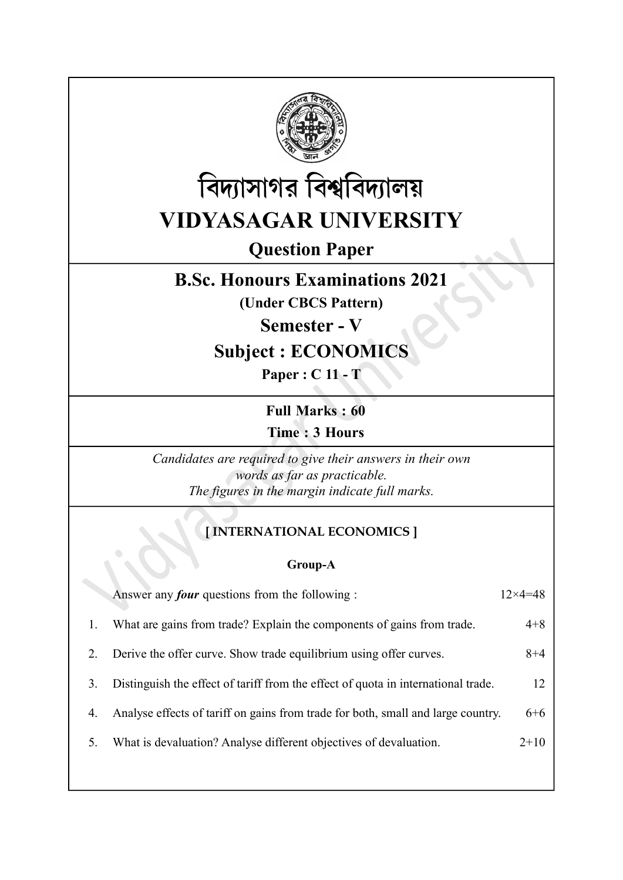



# Question Paper

## B.Sc. Honours Examinations 2021

(Under CBCS Pattern)

Semester - V

## Subject : ECONOMICS

Paper : C 11 - T

Full Marks : 60 Time : 3 Hours

Candidates are required to give their answers in their own words as far as practicable. The figures in the margin indicate full marks.

#### [ INTERNATIONAL ECONOMICS ]

Group-A

|    | Answer any <i>four</i> questions from the following :                             | $12\times4=48$ |
|----|-----------------------------------------------------------------------------------|----------------|
|    | What are gains from trade? Explain the components of gains from trade.            | $4 + 8$        |
| 2. | Derive the offer curve. Show trade equilibrium using offer curves.                | $8 + 4$        |
| 3. | Distinguish the effect of tariff from the effect of quota in international trade. | 12             |
| 4. | Analyse effects of tariff on gains from trade for both, small and large country.  | 6+6            |
| 5. | What is devaluation? Analyse different objectives of devaluation.                 | $2+10$         |
|    |                                                                                   |                |